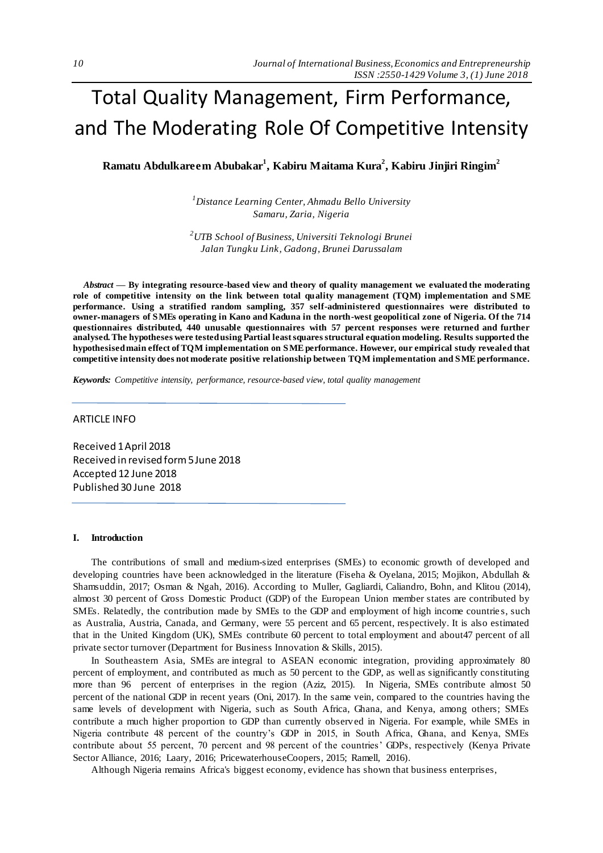# Total Quality Management, Firm Performance, and The Moderating Role Of Competitive Intensity

**Ramatu Abdulkareem Abubakar<sup>1</sup> , Kabiru Maitama Kura<sup>2</sup> , Kabiru Jinjiri Ringim<sup>2</sup>**

*<sup>1</sup>Distance Learning Center, Ahmadu Bello University Samaru, Zaria, Nigeria*

*<sup>2</sup>UTB School of Business, Universiti Teknologi Brunei Jalan Tungku Link, Gadong, Brunei Darussalam* 

*Abstract —* **By integrating resource-based view and theory of quality management we evaluated the moderating role of competitive intensity on the link between total quality management (TQM) implementation and SME performance. Using a stratified random sampling, 357 self-administered questionnaires were distributed to owner**‐**managers of SMEs operating in Kano and Kaduna in the north-west geopolitical zone of Nigeria. Of the 714 questionnaires distributed, 440 unusable questionnaires with 57 percent responses were returned and further analysed. The hypotheses were tested using Partial least squares structural equation modeling. Results supported the hypothesised main effect of TQM implementation on SME performance. However, our empirical study revealed that competitive intensity does not moderate positive relationship between TQM implementation and SME performance.**

*Keywords: Competitive intensity, performance, resource-based view, total quality management*

## ARTICLE INFO

Received 1 April 2018 Received in revised form 5 June 2018 Accepted 12 June 2018 Published 30 June 2018

#### **I. Introduction**

The contributions of small and medium-sized enterprises (SMEs) to economic growth of developed and developing countries have been acknowledged in the literature (Fiseha & Oyelana, 2015; Mojikon, Abdullah & Shamsuddin, 2017; Osman & Ngah, 2016). According to Muller, Gagliardi, Caliandro, Bohn, and Klitou (2014), almost 30 percent of Gross Domestic Product (GDP) of the European Union member states are contributed by SMEs. Relatedly, the contribution made by SMEs to the GDP and employment of high income countrie s, such as Australia, Austria, Canada, and Germany, were 55 percent and 65 percent, respectively. It is also estimated that in the United Kingdom (UK), SMEs contribute 60 percent to total employment and about47 percent of all private sector turnover (Department for Business Innovation & Skills, 2015).

In Southeastern Asia, SMEs are integral to ASEAN economic integration, providing approximately 80 percent of employment, and contributed as much as 50 percent to the GDP, as well as significantly constituting more than 96 percent of enterprises in the region (Aziz, 2015). In Nigeria, SMEs contribute almost 50 percent of the national GDP in recent years (Oni, 2017). In the same vein, compared to the countries having the same levels of development with Nigeria, such as South Africa, Ghana, and Kenya, among others; SMEs contribute a much higher proportion to GDP than currently observed in Nigeria. For example, while SMEs in Nigeria contribute 48 percent of the country's GDP in 2015, in South Africa, Ghana, and Kenya, SMEs contribute about 55 percent, 70 percent and 98 percent of the countries' GDPs, respectively (Kenya Private Sector Alliance, 2016; Laary, 2016; PricewaterhouseCoopers, 2015; Ramell, 2016).

Although Nigeria remains Africa's biggest economy, evidence has shown that business enterprises,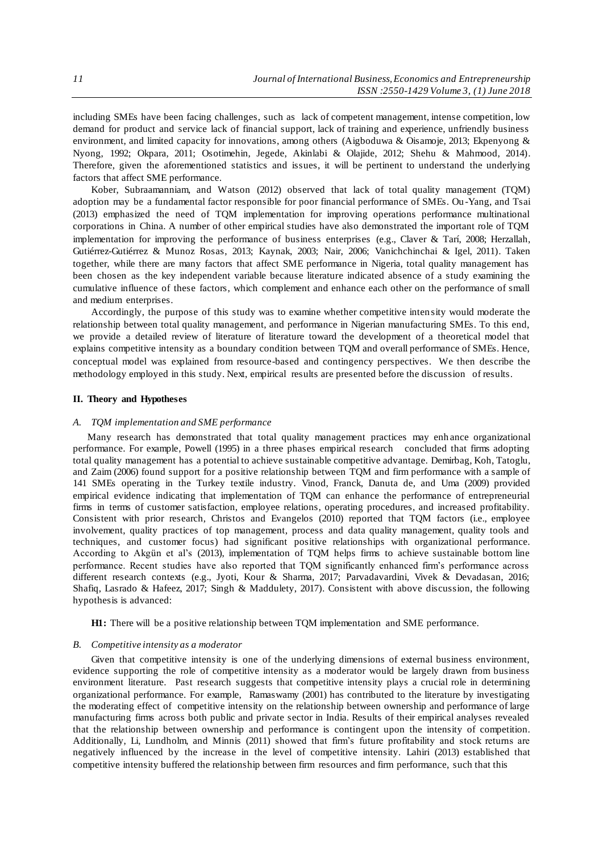including SMEs have been facing challenges, such as lack of competent management, intense competition, low demand for product and service lack of financial support, lack of training and experience, unfriendly business environment, and limited capacity for innovations, among others (Aigboduwa & Oisamoje, 2013; Ekpenyong & Nyong, 1992; Okpara, 2011; Osotimehin, Jegede, Akinlabi & Olajide, 2012; Shehu & Mahmood, 2014). Therefore, given the aforementioned statistics and issues, it will be pertinent to understand the underlying factors that affect SME performance.

Kober, Subraamanniam, and Watson (2012) observed that lack of total quality management (TQM) adoption may be a fundamental factor responsible for poor financial performance of SMEs. Ou -Yang, and Tsai (2013) emphasized the need of TQM implementation for improving operations performance multinational corporations in China. A number of other empirical studies have also demonstrated the important role of TQM implementation for improving the performance of business enterprises (e.g., Claver & Tarí, 2008; Herzallah, Gutiérrez-Gutiérrez & Munoz Rosas, 2013; Kaynak, 2003; Nair, 2006; Vanichchinchai & Igel, 2011). Taken together, while there are many factors that affect SME performance in Nigeria, total quality management has been chosen as the key independent variable because literature indicated absence of a study examining the cumulative influence of these factors, which complement and enhance each other on the performance of small and medium enterprises.

Accordingly, the purpose of this study was to examine whether competitive inten sity would moderate the relationship between total quality management, and performance in Nigerian manufacturing SMEs. To this end, we provide a detailed review of literature of literature toward the development of a theoretical model that explains competitive intensity as a boundary condition between TQM and overall performance of SMEs. Hence, conceptual model was explained from resource-based and contingency perspectives. We then describe the methodology employed in this study. Next, empirical results are presented before the discussion of results.

## **II. Theory and Hypotheses**

#### *A. TQM implementation and SME performance*

Many research has demonstrated that total quality management practices may enh ance organizational performance. For example, Powell (1995) in a three phases empirical research concluded that firms adopting total quality management has a potential to achieve sustainable competitive advantage. Demirbag, Koh, Tatoglu, and Zaim (2006) found support for a positive relationship between TQM and firm performance with a sample of 141 SMEs operating in the Turkey textile industry. Vinod, Franck, Danuta de, and Uma (2009) provided empirical evidence indicating that implementation of TQM can enhance the performance of entrepreneurial firms in terms of customer satisfaction, employee relations, operating procedures, and increased profitability. Consistent with prior research, Christos and Evangelos (2010) reported that TQM factors (i.e., employee involvement, quality practices of top management, process and data quality management, quality tools and techniques, and customer focus) had significant positive relationships with organizational performance. According to Akgün et al's (2013), implementation of TQM helps firms to achieve sustainable bottom line performance. Recent studies have also reported that TQM significantly enhanced firm's performance across different research contexts (e.g., Jyoti, Kour & Sharma, 2017; Parvadavardini, Vivek & Devadasan, 2016; Shafiq, Lasrado & Hafeez, 2017; Singh & Maddulety, 2017). Consistent with above discussion, the following hypothesis is advanced:

**H1:** There will be a positive relationship between TQM implementation and SME performance.

#### *B. Competitive intensity as a moderator*

Given that competitive intensity is one of the underlying dimensions of external business environment, evidence supporting the role of competitive intensity as a moderator would be largely drawn from business environment literature. Past research suggests that competitive intensity plays a crucial role in determining organizational performance. For example, Ramaswamy (2001) has contributed to the literature by investigating the moderating effect of competitive intensity on the relationship between ownership and performance of large manufacturing firms across both public and private sector in India. Results of their empirical analyses revealed that the relationship between ownership and performance is contingent upon the intensity of competition. Additionally, Li, Lundholm, and Minnis (2011) showed that firm's future profitability and stock returns are negatively influenced by the increase in the level of competitive intensity. Lahiri (2013) established that competitive intensity buffered the relationship between firm resources and firm performance, such that this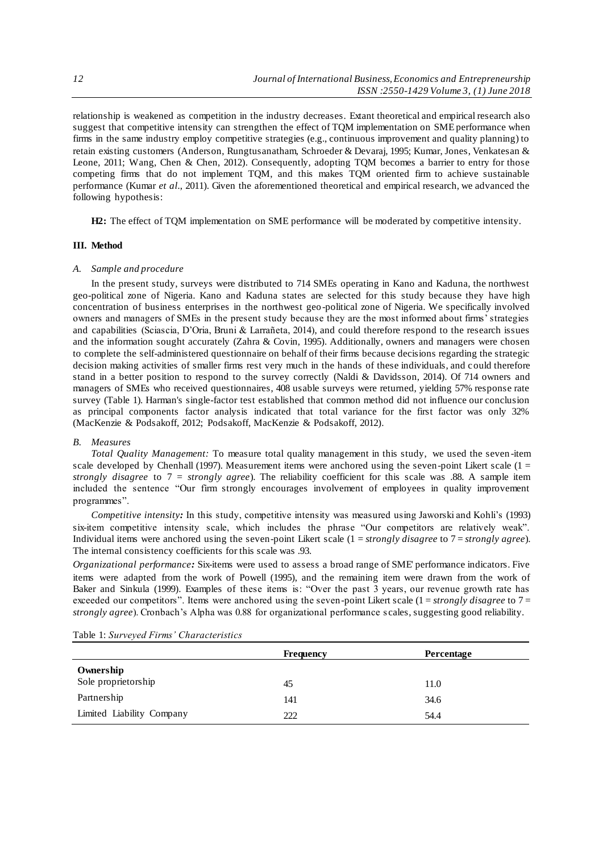relationship is weakened as competition in the industry decreases. Extant theoretical and empirical research also suggest that competitive intensity can strengthen the effect of TQM implementation on SME performance when firms in the same industry employ competitive strategies (e.g., continuous improvement and quality planning) to retain existing customers (Anderson, Rungtusanatham, Schroeder & Devaraj, 1995; Kumar, Jones, Venkatesan & Leone, 2011; Wang, Chen & Chen, 2012). Consequently, adopting TQM becomes a barrier to entry for those competing firms that do not implement TQM, and this makes TQM oriented firm to achieve sustainable performance (Kumar *et al.*, 2011). Given the aforementioned theoretical and empirical research, we advanced the following hypothesis:

**H2:** The effect of TQM implementation on SME performance will be moderated by competitive intensity.

### **III. Method**

# *A. Sample and procedure*

In the present study, surveys were distributed to 714 SMEs operating in Kano and Kaduna, the northwest geo-political zone of Nigeria. Kano and Kaduna states are selected for this study because they have high concentration of business enterprises in the northwest geo-political zone of Nigeria. We specifically involved owners and managers of SMEs in the present study because they are the most informed about firms' strategies and capabilities (Sciascia, D'Oria, Bruni & Larrañeta, 2014), and could therefore respond to the research issues and the information sought accurately (Zahra & Covin, 1995). Additionally, owners and managers were chosen to complete the self-administered questionnaire on behalf of their firms because decisions regarding the strategic decision making activities of smaller firms rest very much in the hands of these individuals, and c ould therefore stand in a better position to respond to the survey correctly (Naldi & Davidsson, 2014). Of 714 owners and managers of SMEs who received questionnaires, 408 usable surveys were returned, yielding 57% response rate survey (Table 1). Harman's single-factor test established that common method did not influence our conclusion as principal components factor analysis indicated that total variance for the first factor was only 32% (MacKenzie & Podsakoff, 2012; Podsakoff, MacKenzie & Podsakoff, 2012).

## *B. Measures*

*Total Quality Management:* To measure total quality management in this study, we used the seven -item scale developed by Chenhall (1997). Measurement items were anchored using the seven-point Likert scale (1 = *strongly disagree* to 7 = *strongly agree*). The reliability coefficient for this scale was .88. A sample item included the sentence "Our firm strongly encourages involvement of employees in quality improvement programmes".

*Competitive intensity:* In this study, competitive intensity was measured using Jaworski and Kohli's (1993) six-item competitive intensity scale, which includes the phrase "Our competitors are relatively weak". Individual items were anchored using the seven-point Likert scale (1 = *strongly disagree* to 7 = *strongly agree*). The internal consistency coefficients for this scale was .93.

*Organizational performance:* Six-items were used to assess a broad range of SME' performance indicators. Five items were adapted from the work of Powell (1995), and the remaining item were drawn from the work of Baker and Sinkula (1999). Examples of these items is: "Over the past 3 years, our revenue growth rate has exceeded our competitors". Items were anchored using the seven-point Likert scale (1 = *strongly disagree* to 7 = *strongly agree*). Cronbach's Alpha was 0.88 for organizational performance s cales, suggesting good reliability.

|                           | Frequency | <b>Percentage</b> |
|---------------------------|-----------|-------------------|
| Ownership                 |           |                   |
| Sole proprietorship       | 45        | 11.0              |
| Partnership               | 141       | 34.6              |
| Limited Liability Company | 222       | 54.4              |

Table 1: *Surveyed Firms' Characteristics*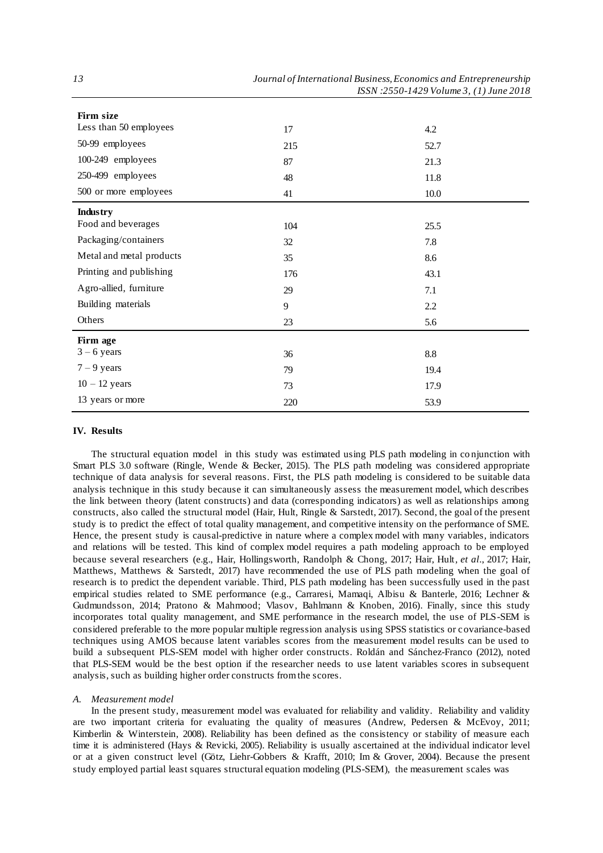| Firm size                |     |      |
|--------------------------|-----|------|
| Less than 50 employees   | 17  | 4.2  |
| 50-99 employees          | 215 | 52.7 |
| 100-249 employees        | 87  | 21.3 |
| 250-499 employees        | 48  | 11.8 |
| 500 or more employees    | 41  | 10.0 |
| <b>Industry</b>          |     |      |
| Food and beverages       | 104 | 25.5 |
| Packaging/containers     | 32  | 7.8  |
| Metal and metal products | 35  | 8.6  |
| Printing and publishing  | 176 | 43.1 |
| Agro-allied, furniture   | 29  | 7.1  |
| Building materials       | 9   | 2.2  |
| Others                   | 23  | 5.6  |
| Firm age                 |     |      |
| $3 - 6$ years            | 36  | 8.8  |
| $7 - 9$ years            | 79  | 19.4 |
| $10 - 12$ years          | 73  | 17.9 |
| 13 years or more         | 220 | 53.9 |

## **IV. Results**

The structural equation model in this study was estimated using PLS path modeling in co njunction with Smart PLS 3.0 software (Ringle, Wende & Becker, 2015). The PLS path modeling was considered appropriate technique of data analysis for several reasons. First, the PLS path modeling is considered to be suitable data analysis technique in this study because it can simultaneously assess the measurement model, which describes the link between theory (latent constructs) and data (corresponding indicators) as well as relationships among constructs, also called the structural model (Hair, Hult, Ringle & Sarstedt, 2017). Second, the goal of the present study is to predict the effect of total quality management, and competitive intensity on the performance of SME. Hence, the present study is causal-predictive in nature where a complex model with many variables, indicators and relations will be tested. This kind of complex model requires a path modeling approach to be employed because several researchers (e.g., Hair, Hollingsworth, Randolph & Chong, 2017; Hair, Hult*, et al.*, 2017; Hair, Matthews, Matthews & Sarstedt, 2017) have recommended the use of PLS path modeling when the goal of research is to predict the dependent variable. Third, PLS path modeling has been successfully used in the past empirical studies related to SME performance (e.g., Carraresi, Mamaqi, Albisu & Banterle, 2016; Lechner & Gudmundsson, 2014; Pratono & Mahmood; Vlasov, Bahlmann & Knoben, 2016). Finally, since this study incorporates total quality management, and SME performance in the research model, the use of PLS-SEM is considered preferable to the more popular multiple regression analysis using SPSS statistics or covariance-based techniques using AMOS because latent variables scores from the measurement model results can be used to build a subsequent PLS-SEM model with higher order constructs. Roldán and Sánchez-Franco (2012), noted that PLS-SEM would be the best option if the researcher needs to use latent variables scores in subsequent analysis, such as building higher order constructs from the scores.

### *A. Measurement model*

In the present study, measurement model was evaluated for reliability and validity. Reliability and validity are two important criteria for evaluating the quality of measures (Andrew, Pedersen & McEvoy, 2011; Kimberlin & Winterstein, 2008). Reliability has been defined as the consistency or stability of measure each time it is administered (Hays & Revicki, 2005). Reliability is usually ascertained at the individual indicator level or at a given construct level (Götz, Liehr-Gobbers & Krafft, 2010; Im & Grover, 2004). Because the present study employed partial least squares structural equation modeling (PLS-SEM), the measurement scales was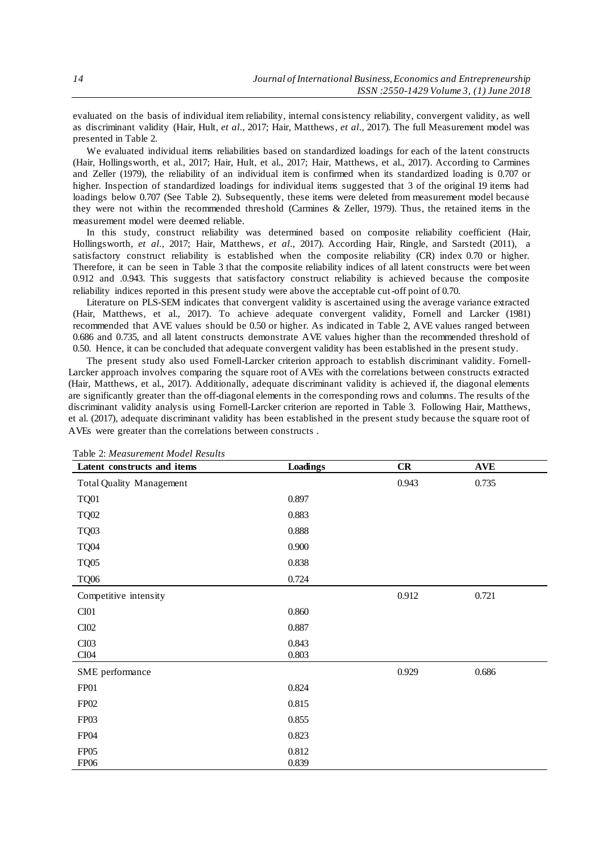evaluated on the basis of individual item reliability, internal consistency reliability, convergent validity, as well as discriminant validity (Hair, Hult*, et al.*, 2017; Hair, Matthews*, et al.*, 2017). The full Measurement model was presented in Table 2.

We evaluated individual items reliabilities based on standardized loadings for each of the la tent constructs (Hair, Hollingsworth, et al., 2017; Hair, Hult, et al., 2017; Hair, Matthews, et al., 2017). According to Carmines and Zeller (1979), the reliability of an individual item is confirmed when its standardized loading is 0.707 or higher. Inspection of standardized loadings for individual items suggested that 3 of the original 19 items had loadings below 0.707 (See Table 2). Subsequently, these items were deleted from measurement model because they were not within the recommended threshold (Carmines & Zeller, 1979). Thus, the retained items in the measurement model were deemed reliable.

In this study, construct reliability was determined based on composite reliability coefficient (Hair, Hollingsworth*, et al.*, 2017; Hair, Matthews*, et al.*, 2017). According Hair, Ringle, and Sarstedt (2011), a satisfactory construct reliability is established when the composite reliability (CR) index 0.70 or higher. Therefore, it can be seen in Table 3 that the composite reliability indices of all latent constructs were bet ween 0.912 and .0.943. This suggests that satisfactory construct reliability is achieved because the composite reliability indices reported in this present study were above the acceptable cut-off point of 0.70.

Literature on PLS-SEM indicates that convergent validity is ascertained using the average variance extracted (Hair, Matthews, et al., 2017). To achieve adequate convergent validity, Fornell and Larcker (1981) recommended that AVE values should be 0.50 or higher. As indicated in Table 2, AVE values ranged between 0.686 and 0.735, and all latent constructs demonstrate AVE values higher than the recommended threshold of 0.50. Hence, it can be concluded that adequate convergent validity has been established in the present study.

The present study also used Fornell-Larcker criterion approach to establish discriminant validity. Fornell-Larcker approach involves comparing the square root of AVEs with the correlations between constructs extracted (Hair, Matthews, et al., 2017). Additionally, adequate discriminant validity is achieved if, the diagonal elements are significantly greater than the off-diagonal elements in the corresponding rows and columns. The results of the discriminant validity analysis using Fornell-Larcker criterion are reported in Table 3. Following Hair, Matthews, et al. (2017), adequate discriminant validity has been established in the present study because the square root of AVEs were greater than the correlations between constructs .

| Latent constructs and items     | Loadings | CR    | <b>AVE</b> |  |
|---------------------------------|----------|-------|------------|--|
| <b>Total Quality Management</b> |          | 0.943 | 0.735      |  |
| <b>TQ01</b>                     | 0.897    |       |            |  |
| <b>TQ02</b>                     | 0.883    |       |            |  |
| <b>TQ03</b>                     | 0.888    |       |            |  |
| <b>TQ04</b>                     | 0.900    |       |            |  |
| <b>TQ05</b>                     | 0.838    |       |            |  |
| <b>TQ06</b>                     | 0.724    |       |            |  |
| Competitive intensity           |          | 0.912 | 0.721      |  |
| CI01                            | 0.860    |       |            |  |
| CI02                            | 0.887    |       |            |  |
| CI03                            | 0.843    |       |            |  |
| CI04                            | 0.803    |       |            |  |
| SME performance                 |          | 0.929 | 0.686      |  |
| FP01                            | 0.824    |       |            |  |
| FP02                            | 0.815    |       |            |  |
| FP03                            | 0.855    |       |            |  |
| FP04                            | 0.823    |       |            |  |
| FP05                            | 0.812    |       |            |  |
| <b>FP06</b>                     | 0.839    |       |            |  |

Table 2: *Measurement Model Results*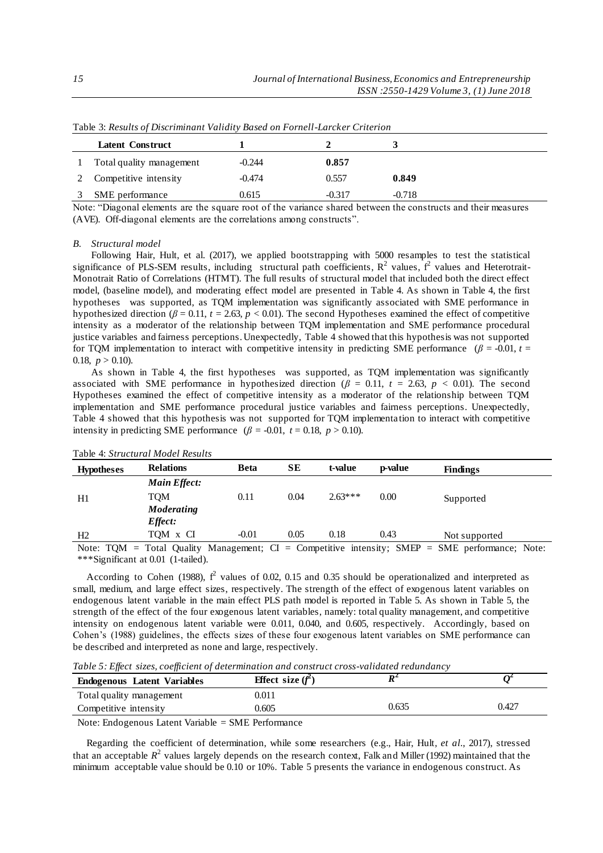| TWO IS DISTURBED OF EXPOSITIONS TO METALLY TERRIFY ON A OTHER EAST CHECK OF PERSONS |          |          |          |  |  |
|-------------------------------------------------------------------------------------|----------|----------|----------|--|--|
| Latent Construct                                                                    |          |          |          |  |  |
| Total quality management                                                            | $-0.244$ | 0.857    |          |  |  |
| Competitive intensity                                                               | $-0.474$ | 0.557    | 0.849    |  |  |
| SME performance                                                                     | 0.615    | $-0.317$ | $-0.718$ |  |  |

Table 3: *Results of Discriminant Validity Based on Fornell-Larcker Criterion*

Note: "Diagonal elements are the square root of the variance shared between the constructs and their measures (AVE). Off-diagonal elements are the correlations among constructs".

## *B. Structural model*

Following Hair, Hult, et al. (2017), we applied bootstrapping with 5000 resamples to test the statistical significance of PLS-SEM results, including structural path coefficients,  $R^2$  values,  $f^2$  values and Heterotrait-Monotrait Ratio of Correlations (HTMT). The full results of structural model that included both the direct effect model, (baseline model), and moderating effect model are presented in Table 4. As shown in Table 4, the first hypotheses was supported, as TQM implementation was significantly associated with SME performance in hypothesized direction ( $\beta$  = 0.11,  $t$  = 2.63,  $\bar{p}$  < 0.01). The second Hypotheses examined the effect of competitive intensity as a moderator of the relationship between TQM implementation and SME performance procedural justice variables and fairness perceptions. Unexpectedly, Table 4 showed that this hypothesis was not supported for TQM implementation to interact with competitive intensity in predicting SME performance  $(\beta = -0.01, t =$ 0.18,  $p > 0.10$ ).

As shown in Table 4, the first hypotheses was supported, as TQM implementation was significantly associated with SME performance in hypothesized direction ( $\beta = 0.11$ ,  $t = 2.63$ ,  $p < 0.01$ ). The second Hypotheses examined the effect of competitive intensity as a moderator of the relationship between TQM implementation and SME performance procedural justice variables and fairness perceptions. Unexpectedly, Table 4 showed that this hypothesis was not supported for TQM implementa tion to interact with competitive intensity in predicting SME performance  $(\beta = -0.01, t = 0.18, p > 0.10)$ .

| <b>Hypotheses</b> | <b>Relations</b>    | <b>Beta</b> | SЕ   | t-value   | <b>p-value</b> | <b>Findings</b>                                                                                   |
|-------------------|---------------------|-------------|------|-----------|----------------|---------------------------------------------------------------------------------------------------|
|                   | <b>Main Effect:</b> |             |      |           |                |                                                                                                   |
| H1                | TOM                 | 0.11        | 0.04 | $2.63***$ | 0.00           | Supported                                                                                         |
|                   | <b>Moderating</b>   |             |      |           |                |                                                                                                   |
|                   | <i>Effect:</i>      |             |      |           |                |                                                                                                   |
| H2                | TOM x CI            | $-0.01$     | 0.05 | 0.18      | 0.43           | Not supported                                                                                     |
|                   |                     |             |      |           |                | Note: TQM = Total Quality Management; $CI =$ Competitive intensity; SMEP = SME performance; Note: |

Table 4: *Structural Model Results*

\*\*\*Significant at 0.01 (1-tailed).

According to Cohen (1988),  $f^2$  values of 0.02, 0.15 and 0.35 should be operationalized and interpreted as small, medium, and large effect sizes, respectively. The strength of the effect of exogenous latent variables on endogenous latent variable in the main effect PLS path model is reported in Table 5. As shown in Table 5, the strength of the effect of the four exogenous latent variables, namely: total quality management, and competitive intensity on endogenous latent variable were 0.011, 0.040, and 0.605, respectively. Accordingly, based on Cohen's (1988) guidelines, the effects sizes of these four exogenous latent variables on SME performance can be described and interpreted as none and large, respectively.

*Table 5: Effect sizes, coefficient of determination and construct cross-validated redundancy* 

| <b>Endogenous Latent Variables</b>                                                                                                                                                                                                                                                                                                                                                                                            | <b>Effect</b> size $(f^2)$ |       |       |  |  |
|-------------------------------------------------------------------------------------------------------------------------------------------------------------------------------------------------------------------------------------------------------------------------------------------------------------------------------------------------------------------------------------------------------------------------------|----------------------------|-------|-------|--|--|
| Total quality management                                                                                                                                                                                                                                                                                                                                                                                                      | $\rm 0.011$                |       |       |  |  |
| Competitive intensity                                                                                                                                                                                                                                                                                                                                                                                                         | 0.605                      | 0.635 | 0.427 |  |  |
| $\mathbf{M}_{\text{eff}}$ $\mathbf{D}_{\text{eff}}$ $\mathbf{J}_{\text{eff}}$ $\mathbf{J}_{\text{eff}}$ $\mathbf{J}_{\text{eff}}$ $\mathbf{M}_{\text{eff}}$ $\mathbf{M}_{\text{eff}}$ $\mathbf{D}_{\text{eff}}$ $\mathbf{D}_{\text{eff}}$ $\mathbf{L}_{\text{eff}}$ $\mathbf{L}_{\text{eff}}$ $\mathbf{L}_{\text{eff}}$ $\mathbf{L}_{\text{eff}}$ $\mathbf{L}_{\text{eff}}$ $\mathbf{L}_{\text{eff}}$ $\mathbf{L}_{\text{eff$ |                            |       |       |  |  |

Note: Endogenous Latent Variable = SME Performance

Regarding the coefficient of determination, while some researchers (e.g., Hair, Hult*, et al.*, 2017), stressed that an acceptable  $R^2$  values largely depends on the research context, Falk and Miller (1992) maintained that the minimum acceptable value should be 0.10 or 10%. Table 5 presents the variance in endogenous construct. As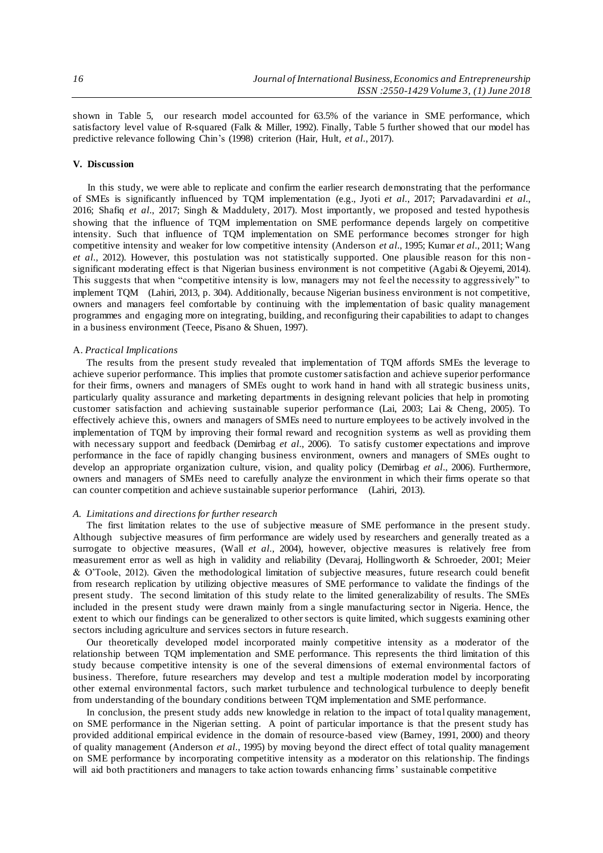shown in Table 5, our research model accounted for 63.5% of the variance in SME performance, which satisfactory level value of R-squared (Falk & Miller, 1992). Finally, Table 5 further showed that our model has predictive relevance following Chin's (1998) criterion (Hair, Hult*, et al.*, 2017).

## **V. Discussion**

In this study, we were able to replicate and confirm the earlier research demonstrating that the performance of SMEs is significantly influenced by TQM implementation (e.g., Jyoti *et al.*, 2017; Parvadavardini *et al.*, 2016; Shafiq *et al.*, 2017; Singh & Maddulety, 2017). Most importantly, we proposed and tested hypothesis showing that the influence of TQM implementation on SME performance depends largely on competitive intensity. Such that influence of TQM implementation on SME performance becomes stronger for high competitive intensity and weaker for low competitive intensity (Anderson *et al.*, 1995; Kumar *et al.*, 2011; Wang *et al.*, 2012). However, this postulation was not statistically supported. One plausible reason for this nonsignificant moderating effect is that Nigerian business environment is not competitive (Agabi & Ojeyemi, 2014). This suggests that when "competitive intensity is low, managers may not feel the necessity to aggressively" to implement TQM (Lahiri, 2013, p. 304). Additionally, because Nigerian business environment is not competitive, owners and managers feel comfortable by continuing with the implementation of basic quality management programmes and engaging more on integrating, building, and reconfiguring their capabilities to adapt to changes in a business environment (Teece, Pisano & Shuen, 1997).

## A. *Practical Implications*

The results from the present study revealed that implementation of TQM affords SMEs the leverage to achieve superior performance. This implies that promote customer satisfaction and achieve superior performance for their firms, owners and managers of SMEs ought to work hand in hand with all strategic business units, particularly quality assurance and marketing departments in designing relevant policies that help in promoting customer satisfaction and achieving sustainable superior performance (Lai, 2003; Lai & Cheng, 2005). To effectively achieve this, owners and managers of SMEs need to nurture employees to be actively involved in the implementation of TQM by improving their formal reward and recognition systems as well as providing them with necessary support and feedback (Demirbag *et al.*, 2006). To satisfy customer expectations and improve performance in the face of rapidly changing business environment, owners and managers of SMEs ought to develop an appropriate organization culture, vision, and quality policy (Demirbag *et al.*, 2006). Furthermore, owners and managers of SMEs need to carefully analyze the environment in which their firms operate so that can counter competition and achieve sustainable superior performance (Lahiri, 2013).

## *A. Limitations and directions for further research*

The first limitation relates to the use of subjective measure of SME performance in the present study. Although subjective measures of firm performance are widely used by researchers and generally treated as a surrogate to objective measures, (Wall *et al.*, 2004), however, objective measures is relatively free from measurement error as well as high in validity and reliability (Devaraj, Hollingworth & Schroeder, 2001; Meier & O'Toole, 2012). Given the methodological limitation of subjective measures, future research could benefit from research replication by utilizing objective measures of SME performance to validate the findings of the present study. The second limitation of this study relate to the limited generalizability of results. The SMEs included in the present study were drawn mainly from a single manufacturing sector in Nigeria. Hence, the extent to which our findings can be generalized to other sectors is quite limited, which suggests examining other sectors including agriculture and services sectors in future research.

Our theoretically developed model incorporated mainly competitive intensity as a moderator of the relationship between TQM implementation and SME performance. This represents the third limitation of this study because competitive intensity is one of the several dimensions of external environmental factors of business. Therefore, future researchers may develop and test a multiple moderation model by incorporating other external environmental factors, such market turbulence and technological turbulence to deeply benefit from understanding of the boundary conditions between TQM implementation and SME performance.

In conclusion, the present study adds new knowledge in relation to the impact of total quality management, on SME performance in the Nigerian setting. A point of particular importance is that the present study has provided additional empirical evidence in the domain of resource-based view (Barney, 1991, 2000) and theory of quality management (Anderson *et al.*, 1995) by moving beyond the direct effect of total quality management on SME performance by incorporating competitive intensity as a moderator on this relationship. The findings will aid both practitioners and managers to take action towards enhancing firms' sustainable competitive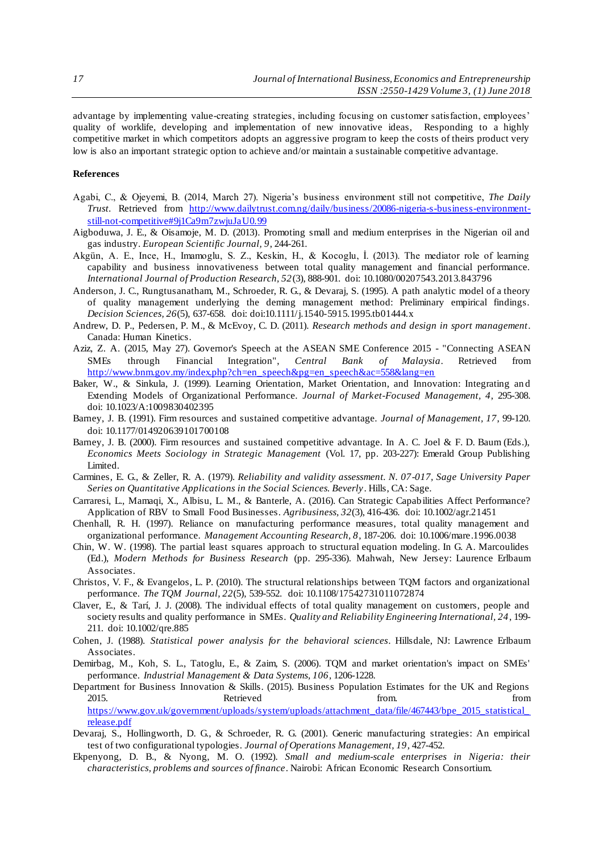advantage by implementing value-creating strategies, including focusing on customer satisfaction, employees' quality of worklife, developing and implementation of new innovative ideas, Responding to a highly competitive market in which competitors adopts an aggressive program to keep the costs of theirs product very low is also an important strategic option to achieve and/or maintain a sustainable competitive advantage.

## **References**

- Agabi, C., & Ojeyemi, B. (2014, March 27). Nigeria's business environment still not competitive, *The Daily Trust*. Retrieved from [http://www.dailytrust.com.ng/daily/business/20086-nigeria-s-business-environment](http://www.dailytrust.com.ng/daily/business/20086-nigeria-s-business-environment-still-not-competitive#9j1Ca9m7zwjuJaU0.99)[still-not-competitive#9j1Ca9m7zwjuJaU0.99](http://www.dailytrust.com.ng/daily/business/20086-nigeria-s-business-environment-still-not-competitive#9j1Ca9m7zwjuJaU0.99)
- Aigboduwa, J. E., & Oisamoje, M. D. (2013). Promoting small and medium enterprises in the Nigerian oil and gas industry. *European Scientific Journal, 9*, 244-261.
- Akgün, A. E., Ince, H., Imamoglu, S. Z., Keskin, H., & Kocoglu, İ. (2013). The mediator role of learning capability and business innovativeness between total quality management and financial performance. *International Journal of Production Research, 52*(3), 888-901. doi: 10.1080/00207543.2013.843796
- Anderson, J. C., Rungtusanatham, M., Schroeder, R. G., & Devaraj, S. (1995). A path analytic model of a theory of quality management underlying the deming management method: Preliminary empirical findings. *Decision Sciences, 26*(5), 637-658. doi: doi:10.1111/j.1540-5915.1995.tb01444.x
- Andrew, D. P., Pedersen, P. M., & McEvoy, C. D. (2011). *Research methods and design in sport management*. Canada: Human Kinetics.
- Aziz, Z. A. (2015, May 27). Governor's Speech at the ASEAN SME Conference 2015 "Connecting ASEAN SMEs through Financial Integration", *Central Bank of Malaysia*. Retrieved from [http://www.bnm.gov.my/index.php?ch=en\\_speech&pg=en\\_speech&ac=558&lang=en](http://www.bnm.gov.my/index.php?ch=en_speech&pg=en_speech&ac=558&lang=en)
- Baker, W., & Sinkula, J. (1999). Learning Orientation, Market Orientation, and Innovation: Integrating an d Extending Models of Organizational Performance. *Journal of Market-Focused Management, 4*, 295-308. doi: 10.1023/A:1009830402395
- Barney, J. B. (1991). Firm resources and sustained competitive advantage. *Journal of Management, 17*, 99-120. doi: 10.1177/014920639101700108
- Barney, J. B. (2000). Firm resources and sustained competitive advantage. In A. C. Joel & F. D. Baum (Eds.), *Economics Meets Sociology in Strategic Management* (Vol. 17, pp. 203-227): Emerald Group Publishing Limited.
- Carmines, E. G., & Zeller, R. A. (1979). *Reliability and validity assessment. N. 07-017, Sage University Paper Series on Quantitative Applications in the Social Sciences. Beverly*. Hills, CA: Sage.
- Carraresi, L., Mamaqi, X., Albisu, L. M., & Banterle, A. (2016). Can Strategic Capabilities Affect Performance? Application of RBV to Small Food Businesses. *Agribusiness, 32*(3), 416-436. doi: 10.1002/agr.21451
- Chenhall, R. H. (1997). Reliance on manufacturing performance measures, total quality management and organizational performance. *Management Accounting Research, 8*, 187-206. doi: 10.1006/mare.1996.0038
- Chin, W. W. (1998). The partial least squares approach to structural equation modeling. In G. A. Marcoulides (Ed.), *Modern Methods for Business Research* (pp. 295-336). Mahwah, New Jersey: Laurence Erlbaum Associates.
- Christos, V. F., & Evangelos, L. P. (2010). The structural relationships between TQM factors and organizational performance. *The TQM Journal, 22*(5), 539-552. doi: 10.1108/17542731011072874
- Claver, E., & Tarí, J. J. (2008). The individual effects of total quality management on customers, people and society results and quality performance in SMEs. *Quality and Reliability Engineering International, 24*, 199- 211. doi: 10.1002/qre.885
- Cohen, J. (1988). *Statistical power analysis for the behavioral sciences*. Hillsdale, NJ: Lawrence Erlbaum Associates.
- Demirbag, M., Koh, S. L., Tatoglu, E., & Zaim, S. (2006). TQM and market orientation's impact on SMEs' performance. *Industrial Management & Data Systems, 106*, 1206-1228.
- Department for Business Innovation & Skills. (2015). Business Population Estimates for the UK and Regions 2015. **Retrieved here here here here here here here here here here here here here here here here here here here here here here here here here here here here here** https://www.gov.uk/government/uploads/system/uploads/attachment\_data/file/467443/bpe\_2015\_statistical [release.pdf](https://www.gov.uk/government/uploads/system/uploads/attachment_data/file/467443/bpe_2015_statistical_release.pdf)
- Devaraj, S., Hollingworth, D. G., & Schroeder, R. G. (2001). Generic manufacturing strategies: An empirical test of two configurational typologies. *Journal of Operations Management, 19*, 427-452.
- Ekpenyong, D. B., & Nyong, M. O. (1992). *Small and medium-scale enterprises in Nigeria: their characteristics, problems and sources of finance*. Nairobi: African Economic Research Consortium.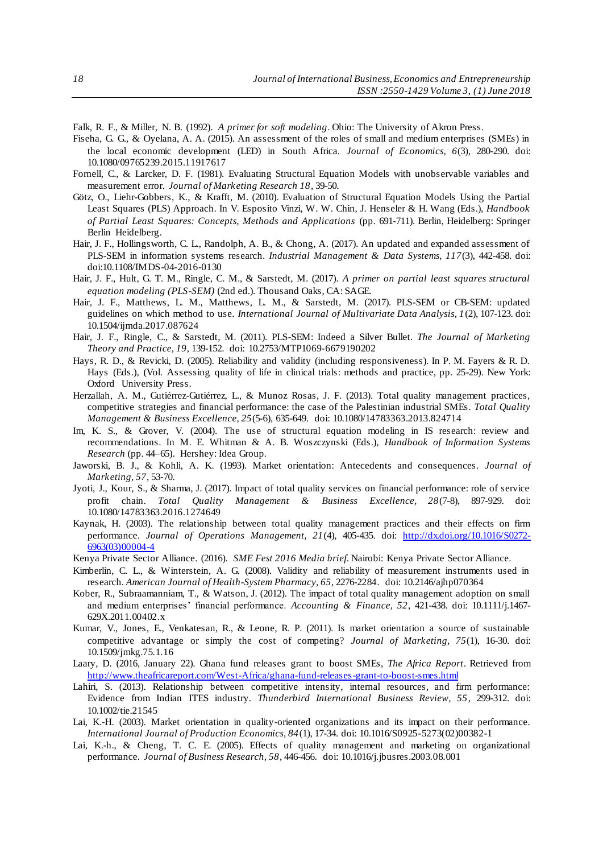Falk, R. F., & Miller, N. B. (1992). *A primer for soft modeling*. Ohio: The University of Akron Press.

- Fiseha, G. G., & Oyelana, A. A. (2015). An assessment of the roles of small and medium enterprises (SMEs) in the local economic development (LED) in South Africa. *Journal of Economics, 6*(3), 280-290. doi: 10.1080/09765239.2015.11917617
- Fornell, C., & Larcker, D. F. (1981). Evaluating Structural Equation Models with unobservable variables and measurement error. *Journal of Marketing Research 18*, 39-50.
- Götz, O., Liehr-Gobbers, K., & Krafft, M. (2010). Evaluation of Structural Equation Models Using the Partial Least Squares (PLS) Approach. In V. Esposito Vinzi, W. W. Chin, J. Henseler & H. Wang (Eds.), *Handbook of Partial Least Squares: Concepts, Methods and Applications* (pp. 691-711). Berlin, Heidelberg: Springer Berlin Heidelberg.
- Hair, J. F., Hollingsworth, C. L., Randolph, A. B., & Chong, A. (2017). An updated and expanded assessment of PLS-SEM in information systems research. *Industrial Management & Data Systems, 117*(3), 442-458. doi: doi:10.1108/IMDS-04-2016-0130
- Hair, J. F., Hult, G. T. M., Ringle, C. M., & Sarstedt, M. (2017). *A primer on partial least squares structural equation modeling (PLS-SEM)* (2nd ed.). Thousand Oaks, CA: SAGE.
- Hair, J. F., Matthews, L. M., Matthews, L. M., & Sarstedt, M. (2017). PLS-SEM or CB-SEM: updated guidelines on which method to use. *International Journal of Multivariate Data Analysis, 1*(2), 107-123. doi: 10.1504/ijmda.2017.087624
- Hair, J. F., Ringle, C., & Sarstedt, M. (2011). PLS-SEM: Indeed a Silver Bullet. *The Journal of Marketing Theory and Practice, 19*, 139-152. doi: 10.2753/MTP1069-6679190202
- Hays, R. D., & Revicki, D. (2005). Reliability and validity (including responsiveness). In P. M. Fayers & R. D. Hays (Eds.), (Vol. Assessing quality of life in clinical trials: methods and practice, pp. 25-29). New York: Oxford University Press.
- Herzallah, A. M., Gutiérrez-Gutiérrez, L., & Munoz Rosas, J. F. (2013). Total quality management practices, competitive strategies and financial performance: the case of the Palestinian industrial SMEs. *Total Quality Management & Business Excellence, 25*(5-6), 635-649. doi: 10.1080/14783363.2013.824714
- Im, K. S., & Grover, V. (2004). The use of structural equation modeling in IS research: review and recommendations. In M. E. Whitman & A. B. Woszczynski (Eds.), *Handbook of Information Systems Research* (pp. 44–65). Hershey: Idea Group.
- Jaworski, B. J., & Kohli, A. K. (1993). Market orientation: Antecedents and consequences. *Journal of Marketing, 57*, 53-70.
- Jyoti, J., Kour, S., & Sharma, J. (2017). Impact of total quality services on financial performance: role of service profit chain. *Total Quality Management & Business Excellence, 28*(7-8), 897-929. doi: 10.1080/14783363.2016.1274649
- Kaynak, H. (2003). The relationship between total quality management practices and their effects on firm performance. *Journal of Operations Management, 21*(4), 405-435. do[i: http://dx.doi.org/10.1016/S0272-](http://dx.doi.org/10.1016/S0272-6963(03)00004-4) [6963\(03\)00004-4](http://dx.doi.org/10.1016/S0272-6963(03)00004-4)
- Kenya Private Sector Alliance. (2016). *SME Fest 2016 Media brief*. Nairobi: Kenya Private Sector Alliance.
- Kimberlin, C. L., & Winterstein, A. G. (2008). Validity and reliability of measurement instruments used in research. *American Journal of Health-System Pharmacy, 65*, 2276-2284. doi: 10.2146/ajhp070364
- Kober, R., Subraamanniam, T., & Watson, J. (2012). The impact of total quality management adoption on small and medium enterprises' financial performance. *Accounting & Finance, 52*, 421-438. doi: 10.1111/j.1467- 629X.2011.00402.x
- Kumar, V., Jones, E., Venkatesan, R., & Leone, R. P. (2011). Is market orientation a source of sustainable competitive advantage or simply the cost of competing? *Journal of Marketing, 75*(1), 16-30. doi: 10.1509/jmkg.75.1.16
- Laary, D. (2016, January 22). Ghana fund releases grant to boost SMEs, *The Africa Report*. Retrieved from <http://www.theafricareport.com/West-Africa/ghana-fund-releases-grant-to-boost-smes.html>
- Lahiri, S. (2013). Relationship between competitive intensity, internal resources, and firm performance: Evidence from Indian ITES industry. *Thunderbird International Business Review, 55*, 299-312. doi: 10.1002/tie.21545
- Lai, K.-H. (2003). Market orientation in quality-oriented organizations and its impact on their performance. *International Journal of Production Economics, 84*(1), 17-34. doi: 10.1016/S0925-5273(02)00382-1
- Lai, K.-h., & Cheng, T. C. E. (2005). Effects of quality management and marketing on organizational performance. *Journal of Business Research, 58*, 446-456. doi: 10.1016/j.jbusres.2003.08.001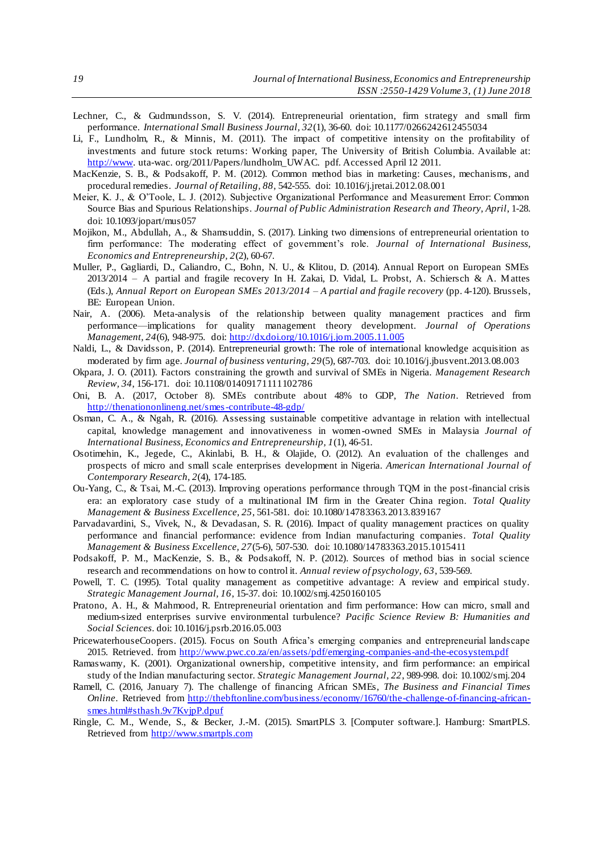- Lechner, C., & Gudmundsson, S. V. (2014). Entrepreneurial orientation, firm strategy and small firm performance. *International Small Business Journal, 32*(1), 36-60. doi: 10.1177/0266242612455034
- Li, F., Lundholm, R., & Minnis, M. (2011). The impact of competitive intensity on the profitability of investments and future stock returns: Working paper, The University of British Columbia. Available at: [http://www.](http://www/) uta-wac. org/2011/Papers/lundholm\_UWAC. pdf. Accessed April 12 2011.
- MacKenzie, S. B., & Podsakoff, P. M. (2012). Common method bias in marketing: Causes, mechanisms, and procedural remedies. *Journal of Retailing, 88*, 542-555. doi: 10.1016/j.jretai.2012.08.001
- Meier, K. J., & O'Toole, L. J. (2012). Subjective Organizational Performance and Measurement Error: Common Source Bias and Spurious Relationships. *Journal of Public Administration Research and Theory, April*, 1-28. doi: 10.1093/jopart/mus057
- Mojikon, M., Abdullah, A., & Shamsuddin, S. (2017). Linking two dimensions of entrepreneurial orientation to firm performance: The moderating effect of government's role. *Journal of International Business, Economics and Entrepreneurship, 2*(2), 60-67.
- Muller, P., Gagliardi, D., Caliandro, C., Bohn, N. U., & Klitou, D. (2014). Annual Report on European SMEs 2013/2014 – A partial and fragile recovery In H. Zakai, D. Vidal, L. Probst, A. Schiersch & A. Mattes (Eds.), *Annual Report on European SMEs 2013/2014 – A partial and fragile recovery* (pp. 4-120). Brussels, BE: European Union.
- Nair, A. (2006). Meta-analysis of the relationship between quality management practices and firm performance—implications for quality management theory development. *Journal of Operations Management, 24*(6), 948-975. doi[: http://dx.doi.org/10.1016/j.jom.2005.11.005](http://dx.doi.org/10.1016/j.jom.2005.11.005)
- Naldi, L., & Davidsson, P. (2014). Entrepreneurial growth: The role of international knowledge acquisition as moderated by firm age. *Journal of business venturing, 29*(5), 687-703. doi: 10.1016/j.jbusvent.2013.08.003
- Okpara, J. O. (2011). Factors constraining the growth and survival of SMEs in Nigeria. *Management Research Review, 34*, 156-171. doi: 10.1108/01409171111102786
- Oni, B. A. (2017, October 8). SMEs contribute about 48% to GDP, *The Nation*. Retrieved from <http://thenationonlineng.net/smes-contribute-48-gdp/>
- Osman, C. A., & Ngah, R. (2016). Assessing sustainable competitive advantage in relation with intellectual capital, knowledge management and innovativeness in women-owned SMEs in Malaysia *Journal of International Business, Economics and Entrepreneurship, 1*(1), 46-51.
- Osotimehin, K., Jegede, C., Akinlabi, B. H., & Olajide, O. (2012). An evaluation of the challenges and prospects of micro and small scale enterprises development in Nigeria. *American International Journal of Contemporary Research, 2*(4), 174-185.
- Ou-Yang, C., & Tsai, M.-C. (2013). Improving operations performance through TQM in the post-financial crisis era: an exploratory case study of a multinational IM firm in the Greater China region. *Total Quality Management & Business Excellence, 25*, 561-581. doi: 10.1080/14783363.2013.839167
- Parvadavardini, S., Vivek, N., & Devadasan, S. R. (2016). Impact of quality management practices on quality performance and financial performance: evidence from Indian manufacturing companies. *Total Quality Management & Business Excellence, 27*(5-6), 507-530. doi: 10.1080/14783363.2015.1015411
- Podsakoff, P. M., MacKenzie, S. B., & Podsakoff, N. P. (2012). Sources of method bias in social science research and recommendations on how to control it. *Annual review of psychology, 63*, 539-569.
- Powell, T. C. (1995). Total quality management as competitive advantage: A review and empirical study. *Strategic Management Journal, 16*, 15-37. doi: 10.1002/smj.4250160105
- Pratono, A. H., & Mahmood, R. Entrepreneurial orientation and firm performance: How can micro, small and medium-sized enterprises survive environmental turbulence? *Pacific Science Review B: Humanities and Social Sciences*. doi: 10.1016/j.psrb.2016.05.003
- PricewaterhouseCoopers. (2015). Focus on South Africa's emerging companies and entrepreneurial landscape 2015. Retrieved. from<http://www.pwc.co.za/en/assets/pdf/emerging-companies-and-the-ecosystem.pdf>
- Ramaswamy, K. (2001). Organizational ownership, competitive intensity, and firm performance: an empirical study of the Indian manufacturing sector. *Strategic Management Journal, 22*, 989-998. doi: 10.1002/smj.204
- Ramell, C. (2016, January 7). The challenge of financing African SMEs, *The Business and Financial Times Online*. Retrieved fro[m http://thebftonline.com/business/economy/16760/the-challenge-of-financing-african](http://thebftonline.com/business/economy/16760/the-challenge-of-financing-african-smes.html#sthash.9v7KvjpP.dpuf)[smes.html#sthash.9v7KvjpP.dpuf](http://thebftonline.com/business/economy/16760/the-challenge-of-financing-african-smes.html#sthash.9v7KvjpP.dpuf)
- Ringle, C. M., Wende, S., & Becker, J.-M. (2015). SmartPLS 3. [Computer software.]. Hamburg: SmartPLS. Retrieved from [http://www.smartpls.com](http://www.smartpls.com/)